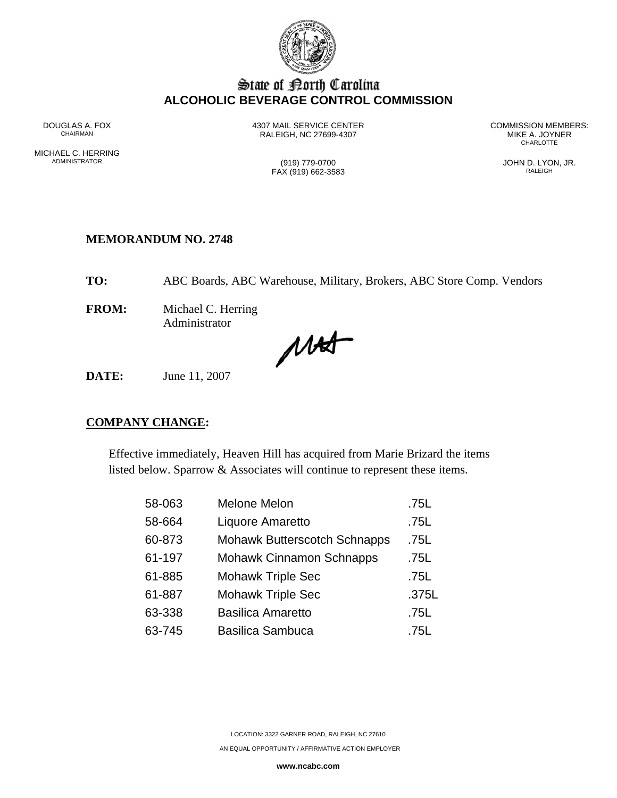

## State of Borth Carolina **ALCOHOLIC BEVERAGE CONTROL COMMISSION**

MICHAEL C. HERRING<br>ADMINISTRATOR

RALEIGH, NC 27699-4307 MIKE A. JOYNER AND MIKE A. JOYNER

DOUGLAS A. FOX 4307 MAIL SERVICE CENTER COMMISSION MEMBERS: **CHARLOTTE** 

 $FAX (919) 662-3583$ 

(919) 779-0700 (919) 779-0700 JOHN D. LYON, JR.

#### **MEMORANDUM NO. 2748**

**TO:** ABC Boards, ABC Warehouse, Military, Brokers, ABC Store Comp. Vendors

**FROM:** Michael C. Herring Administrator

MAS

**DATE:** June 11, 2007

#### **COMPANY CHANGE:**

Effective immediately, Heaven Hill has acquired from Marie Brizard the items listed below. Sparrow & Associates will continue to represent these items.

| 58-063 | <b>Melone Melon</b>                 | .75L  |
|--------|-------------------------------------|-------|
| 58-664 | Liquore Amaretto                    | .75L  |
| 60-873 | <b>Mohawk Butterscotch Schnapps</b> | .75L  |
| 61-197 | <b>Mohawk Cinnamon Schnapps</b>     | .75L  |
| 61-885 | <b>Mohawk Triple Sec</b>            | .75L  |
| 61-887 | Mohawk Triple Sec                   | .375L |
| 63-338 | <b>Basilica Amaretto</b>            | .75L  |
| 63-745 | <b>Basilica Sambuca</b>             | .75L  |

LOCATION: 3322 GARNER ROAD, RALEIGH, NC 27610

AN EQUAL OPPORTUNITY / AFFIRMATIVE ACTION EMPLOYER

**www.ncabc.com**